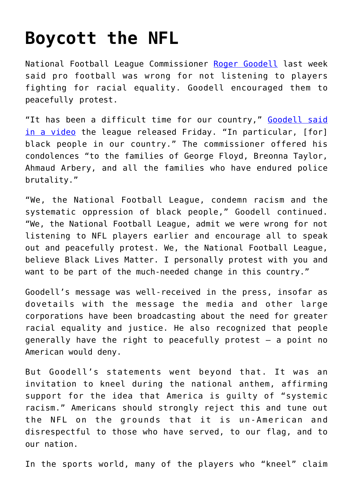## **[Boycott the NFL](https://intellectualtakeout.org/2020/06/boycott-the-nfl/)**

National Football League Commissioner [Roger Goodell](https://www.chicagotribune.com/sports/breaking/ct-nfl-players-video-racial-inequality-20200605-xozwb3wxlbhbrbanone7cd53ye-story.html) last week said pro football was wrong for not listening to players fighting for racial equality. Goodell encouraged them to peacefully protest.

"It has been a difficult time for our country," [Goodell said](https://www.chicagotribune.com/sports/breaking/ct-nfl-players-video-racial-inequality-20200605-xozwb3wxlbhbrbanone7cd53ye-story.html) [in a video](https://www.chicagotribune.com/sports/breaking/ct-nfl-players-video-racial-inequality-20200605-xozwb3wxlbhbrbanone7cd53ye-story.html) the league released Friday. "In particular, [for] black people in our country." The commissioner offered his condolences "to the families of George Floyd, Breonna Taylor, Ahmaud Arbery, and all the families who have endured police brutality."

"We, the National Football League, condemn racism and the systematic oppression of black people," Goodell continued. "We, the National Football League, admit we were wrong for not listening to NFL players earlier and encourage all to speak out and peacefully protest. We, the National Football League, believe Black Lives Matter. I personally protest with you and want to be part of the much-needed change in this country."

Goodell's message was well-received in the press, insofar as dovetails with the message the media and other large corporations have been broadcasting about the need for greater racial equality and justice. He also recognized that people generally have the right to peacefully protest – a point no American would deny.

But Goodell's statements went beyond that. It was an invitation to kneel during the national anthem, affirming support for the idea that America is guilty of "systemic racism." Americans should strongly reject this and tune out the NFL on the grounds that it is un-American and disrespectful to those who have served, to our flag, and to our nation.

In the sports world, many of the players who "kneel" claim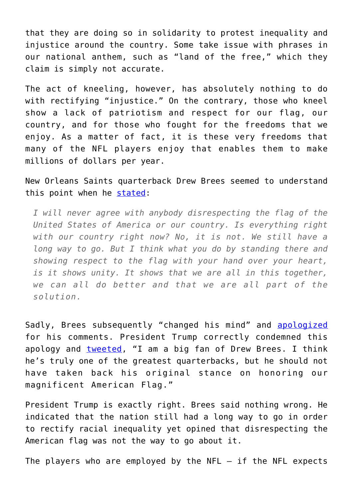that they are doing so in solidarity to protest inequality and injustice around the country. Some take issue with phrases in our national anthem, such as "land of the free," which they claim is simply not accurate.

The act of kneeling, however, has absolutely nothing to do with rectifying "injustice." On the contrary, those who kneel show a lack of patriotism and respect for our flag, our country, and for those who fought for the freedoms that we enjoy. As a matter of fact, it is these very freedoms that many of the NFL players enjoy that enables them to make millions of dollars per year.

New Orleans Saints quarterback Drew Brees seemed to understand this point when he [stated:](https://www.usatoday.com/story/sports/nfl/saints/2020/06/04/drew-brees-instagram-apology-national-anthem-protests/3150362001/)

*I will never agree with anybody disrespecting the flag of the United States of America or our country. Is everything right with our country right now? No, it is not. We still have a long way to go. But I think what you do by standing there and showing respect to the flag with your hand over your heart, is it shows unity. It shows that we are all in this together, we can all do better and that we are all part of the solution.*

Sadly, Brees subsequently "changed his mind" and [apologized](https://www.foxnews.com/sports/saints-praise-drew-brees-trumps-criticism-apology-leadership) for his comments. President Trump correctly condemned this apology and [tweeted,](https://twitter.com/realDonaldTrump/status/1268998143733051394?ref_src=twsrc%5Etfw%7Ctwcamp%5Etweetembed%7Ctwterm%5E1268998143733051394&ref_url=https%3A%2F%2Fwww.sportingnews.com%2Fau%2Fnfl%2Fnews%2Funited-states-president-donald-trump-criticises-saints-qb-drew-brees-for-changing-stance-on-kneeling%2F1qd4cii9bxnm81tl6tla143nrz) "I am a big fan of Drew Brees. I think he's truly one of the greatest quarterbacks, but he should not have taken back his original stance on honoring our magnificent American Flag."

President Trump is exactly right. Brees said nothing wrong. He indicated that the nation still had a long way to go in order to rectify racial inequality yet opined that disrespecting the American flag was not the way to go about it.

The players who are employed by the  $NFL - if$  the  $NFL$  expects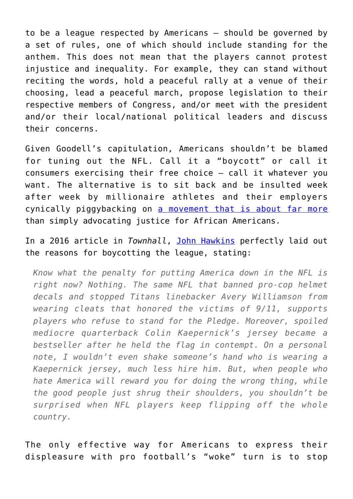to be a league respected by Americans – should be governed by a set of rules, one of which should include standing for the anthem. This does not mean that the players cannot protest injustice and inequality. For example, they can stand without reciting the words, hold a peaceful rally at a venue of their choosing, lead a peaceful march, propose legislation to their respective members of Congress, and/or meet with the president and/or their local/national political leaders and discuss their concerns.

Given Goodell's capitulation, Americans shouldn't be blamed for tuning out the NFL. Call it a "boycott" or call it consumers exercising their free choice – call it whatever you want. The alternative is to sit back and be insulted week after week by millionaire athletes and their employers cynically piggybacking on [a movement that is about far more](https://www.washingtontimes.com/news/2016/jul/28/black-lives-matters-real-agenda/) than simply advocating justice for African Americans.

## In a 2016 article in *Townhall*, [John Hawkins](https://townhall.com/columnists/johnhawkins/2016/09/24/its-time-for-conservatives-to-boycott-the-nfl-n2222903) perfectly laid out the reasons for boycotting the league, stating:

*Know what the penalty for putting America down in the NFL is right now? Nothing. The same NFL that banned pro-cop helmet decals and stopped Titans linebacker Avery Williamson from wearing cleats that honored the victims of 9/11, supports players who refuse to stand for the Pledge. Moreover, spoiled mediocre quarterback Colin Kaepernick's jersey became a bestseller after he held the flag in contempt. On a personal note, I wouldn't even shake someone's hand who is wearing a Kaepernick jersey, much less hire him. But, when people who hate America will reward you for doing the wrong thing, while the good people just shrug their shoulders, you shouldn't be surprised when NFL players keep flipping off the whole country.*

The only effective way for Americans to express their displeasure with pro football's "woke" turn is to stop